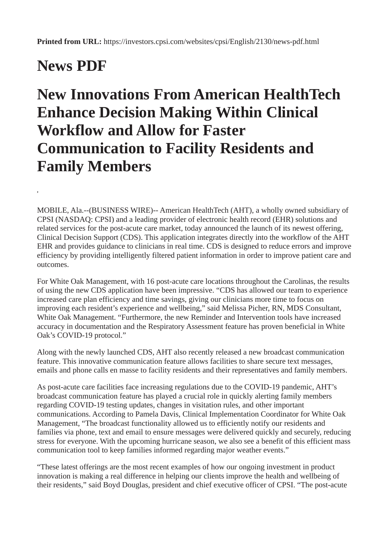## **News PDF**

**,**

## **New Innovations From American HealthTech Enhance Decision Making Within Clinical Workflow and Allow for Faster Communication to Facility Residents and Family Members**

MOBILE, Ala.--(BUSINESS WIRE)-- American HealthTech (AHT), a wholly owned subsidiary of CPSI (NASDAQ: CPSI) and a leading provider of electronic health record (EHR) solutions and related services for the post-acute care market, today announced the launch of its newest offering, Clinical Decision Support (CDS). This application integrates directly into the workflow of the AHT EHR and provides guidance to clinicians in real time. CDS is designed to reduce errors and improve efficiency by providing intelligently filtered patient information in order to improve patient care and outcomes.

For White Oak Management, with 16 post-acute care locations throughout the Carolinas, the results of using the new CDS application have been impressive. "CDS has allowed our team to experience increased care plan efficiency and time savings, giving our clinicians more time to focus on improving each resident's experience and wellbeing," said Melissa Picher, RN, MDS Consultant, White Oak Management. "Furthermore, the new Reminder and Intervention tools have increased accuracy in documentation and the Respiratory Assessment feature has proven beneficial in White Oak's COVID-19 protocol."

Along with the newly launched CDS, AHT also recently released a new broadcast communication feature. This innovative communication feature allows facilities to share secure text messages, emails and phone calls en masse to facility residents and their representatives and family members.

As post-acute care facilities face increasing regulations due to the COVID-19 pandemic, AHT's broadcast communication feature has played a crucial role in quickly alerting family members regarding COVID-19 testing updates, changes in visitation rules, and other important communications. According to Pamela Davis, Clinical Implementation Coordinator for White Oak Management, "The broadcast functionality allowed us to efficiently notify our residents and families via phone, text and email to ensure messages were delivered quickly and securely, reducing stress for everyone. With the upcoming hurricane season, we also see a benefit of this efficient mass communication tool to keep families informed regarding major weather events."

"These latest offerings are the most recent examples of how our ongoing investment in product innovation is making a real difference in helping our clients improve the health and wellbeing of their residents," said Boyd Douglas, president and chief executive officer of CPSI. "The post-acute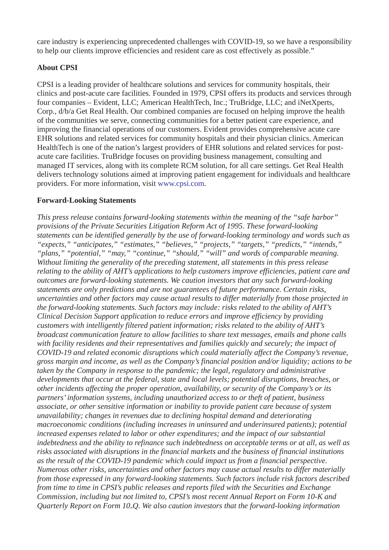care industry is experiencing unprecedented challenges with COVID-19, so we have a responsibility to help our clients improve efficiencies and resident care as cost effectively as possible."

## **About CPSI**

CPSI is a leading provider of healthcare solutions and services for community hospitals, their clinics and post-acute care facilities. Founded in 1979, CPSI offers its products and services through four companies – Evident, LLC; American HealthTech, Inc.; TruBridge, LLC; and iNetXperts, Corp., d/b/a Get Real Health. Our combined companies are focused on helping improve the health of the communities we serve, connecting communities for a better patient care experience, and improving the financial operations of our customers. Evident provides comprehensive acute care EHR solutions and related services for community hospitals and their physician clinics. American HealthTech is one of the nation's largest providers of EHR solutions and related services for postacute care facilities. TruBridge focuses on providing business management, consulting and managed IT services, along with its complete RCM solution, for all care settings. Get Real Health delivers technology solutions aimed at improving patient engagement for individuals and healthcare providers. For more information, visit [www.cpsi.com.](https://cts.businesswire.com/ct/CT?id=smartlink&url=http%3A%2F%2Fwww.cpsi.com&esheet=52246917&newsitemid=20200708005730&lan=en-US&anchor=www.cpsi.com&index=1&md5=579394148efed5c8953c4fcacdfc386e)

## **Forward-Looking Statements**

*This press release contains forward-looking statements within the meaning of the "safe harbor" provisions of the Private Securities Litigation Reform Act of 1995. These forward-looking statements can be identified generally by the use of forward-looking terminology and words such as "expects," "anticipates," "estimates," "believes," "projects," "targets," "predicts," "intends," "plans," "potential," "may," "continue," "should," "will" and words of comparable meaning. Without limiting the generality of the preceding statement, all statements in this press release relating to the ability of AHT's applications to help customers improve efficiencies, patient care and outcomes are forward-looking statements. We caution investors that any such forward-looking statements are only predictions and are not guarantees of future performance. Certain risks, uncertainties and other factors may cause actual results to differ materially from those projected in the forward-looking statements. Such factors may include: risks related to the ability of AHT's Clinical Decision Support application to reduce errors and improve efficiency by providing customers with intelligently filtered patient information; risks related to the ability of AHT's broadcast communication feature to allow facilities to share text messages, emails and phone calls with facility residents and their representatives and families quickly and securely; the impact of COVID-19 and related economic disruptions which could materially affect the Company's revenue, gross margin and income, as well as the Company's financial position and/or liquidity; actions to be taken by the Company in response to the pandemic; the legal, regulatory and administrative developments that occur at the federal, state and local levels; potential disruptions, breaches, or other incidents affecting the proper operation, availability, or security of the Company's or its partners' information systems, including unauthorized access to or theft of patient, business associate, or other sensitive information or inability to provide patient care because of system unavailability; changes in revenues due to declining hospital demand and deteriorating macroeconomic conditions (including increases in uninsured and underinsured patients); potential increased expenses related to labor or other expenditures; and the impact of our substantial indebtedness and the ability to refinance such indebtedness on acceptable terms or at all, as well as risks associated with disruptions in the financial markets and the business of financial institutions as the result of the COVID-19 pandemic which could impact us from a financial perspective. Numerous other risks, uncertainties and other factors may cause actual results to differ materially from those expressed in any forward-looking statements. Such factors include risk factors described from time to time in CPSI's public releases and reports filed with the Securities and Exchange Commission, including but not limited to, CPSI's most recent Annual Report on Form 10-K and Quarterly Report on Form 10*‑*Q. We also caution investors that the forward-looking information*